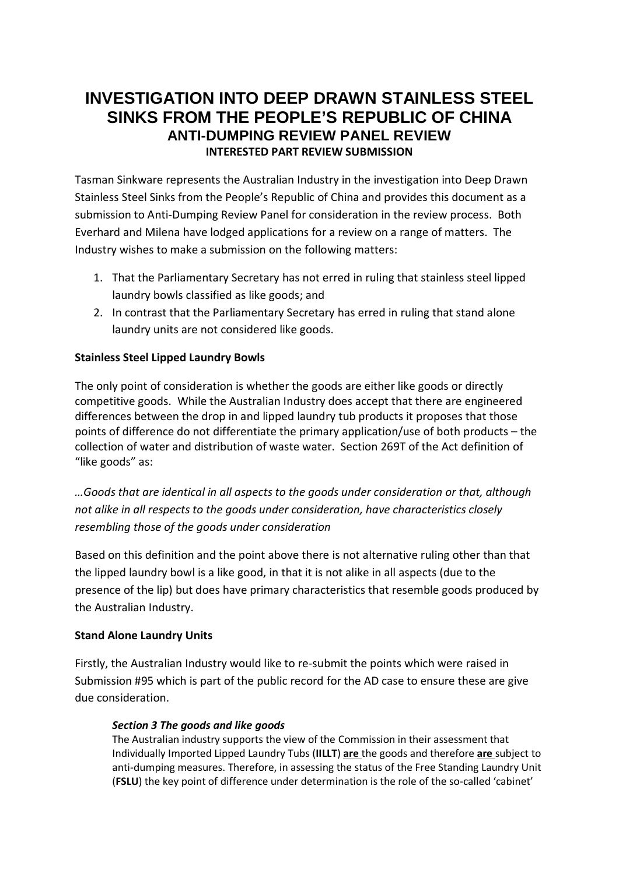## **INVESTIGATION INTO DEEP DRAWN STAINLESS STEEL SINKS FROM THE PEOPLE'S REPUBLIC OF CHINA ANTI-DUMPING REVIEW PANEL REVIEW INTERESTED PART REVIEW SUBMISSION**

Tasman Sinkware represents the Australian Industry in the investigation into Deep Drawn Stainless Steel Sinks from the People's Republic of China and provides this document as a submission to Anti-Dumping Review Panel for consideration in the review process. Both Everhard and Milena have lodged applications for a review on a range of matters. The Industry wishes to make a submission on the following matters:

- 1. That the Parliamentary Secretary has not erred in ruling that stainless steel lipped laundry bowls classified as like goods; and
- 2. In contrast that the Parliamentary Secretary has erred in ruling that stand alone laundry units are not considered like goods.

## **Stainless Steel Lipped Laundry Bowls**

The only point of consideration is whether the goods are either like goods or directly competitive goods. While the Australian Industry does accept that there are engineered differences between the drop in and lipped laundry tub products it proposes that those points of difference do not differentiate the primary application/use of both products – the collection of water and distribution of waste water. Section 269T of the Act definition of "like goods" as:

*…Goods that are identical in all aspects to the goods under consideration or that, although not alike in all respects to the goods under consideration, have characteristics closely resembling those of the goods under consideration*

Based on this definition and the point above there is not alternative ruling other than that the lipped laundry bowl is a like good, in that it is not alike in all aspects (due to the presence of the lip) but does have primary characteristics that resemble goods produced by the Australian Industry.

## **Stand Alone Laundry Units**

Firstly, the Australian Industry would like to re-submit the points which were raised in Submission #95 which is part of the public record for the AD case to ensure these are give due consideration.

## *Section 3 The goods and like goods*

The Australian industry supports the view of the Commission in their assessment that Individually Imported Lipped Laundry Tubs (**IILLT**) **are** the goods and therefore **are** subject to anti-dumping measures. Therefore, in assessing the status of the Free Standing Laundry Unit (**FSLU**) the key point of difference under determination is the role of the so-called 'cabinet'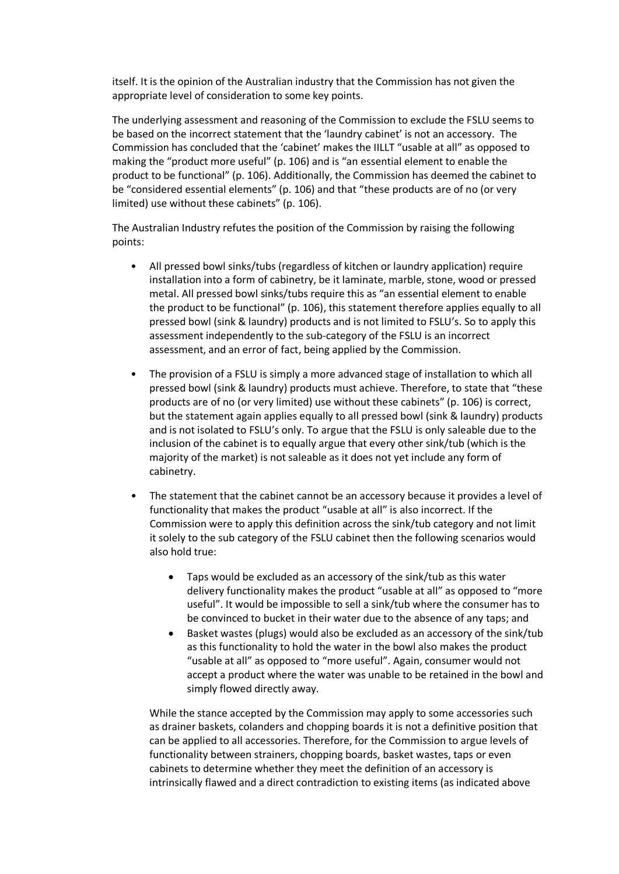itself. It is the opinion of the Australian industry that the Commission has not given the appropriate level of consideration to some key points.

The underlying assessment and reasoning of the Commission to exclude the FSLU seems to be based on the incorrect statement that the 'laundry cabinet' is not an accessory. The Commission has concluded that the 'cabinet' makes the IILLT "usable at all" as opposed to making the "product more useful" (p. 106) and is "an essential element to enable the product to be functional" (p. 106). Additionally, the Commission has deemed the cabinet to be "considered essential elements" (p. 106) and that "these products are of no (or very limited) use without these cabinets" (p. 106).

The Australian Industry refutes the position of the Commission by raising the following points:

- All pressed bowl sinks/tubs (regardless of kitchen or laundry application) require installation into a form of cabinetry, be it laminate, marble, stone, wood or pressed metal. All pressed bowl sinks/tubs require this as "an essential element to enable the product to be functional" (p. 106), this statement therefore applies equally to all pressed bowl (sink & laundry) products and is not limited to FSLU's. So to apply this assessment independently to the sub-category of the FSLU is an incorrect assessment, and an error of fact, being applied by the Commission.
- The provision of a FSLU is simply a more advanced stage of installation to which all pressed bowl (sink & laundry) products must achieve. Therefore, to state that "these products are of no (or very limited) use without these cabinets" (p. 106) is correct, but the statement again applies equally to all pressed bowl (sink & laundry) products and is not isolated to FSLU's only. To argue that the FSLU is only saleable due to the inclusion of the cabinet is to equally argue that every other sink/tub (which is the majority of the market) is not saleable as it does not yet include any form of cabinetry.
- The statement that the cabinet cannot be an accessory because it provides a level of functionality that makes the product "usable at all" is also incorrect. If the Commission were to apply this definition across the sink/tub category and not limit it solely to the sub category of the FSLU cabinet then the following scenarios would also hold true:
	- Taps would be excluded as an accessory of the sink/tub as this water delivery functionality makes the product "usable at all" as opposed to "more useful". It would be impossible to sell a sink/tub where the consumer has to be convinced to bucket in their water due to the absence of any taps; and
	- Basket wastes (plugs) would also be excluded as an accessory of the sink/tub as this functionality to hold the water in the bowl also makes the product "usable at all" as opposed to "more useful". Again, consumer would not accept a product where the water was unable to be retained in the bowl and simply flowed directly away.

While the stance accepted by the Commission may apply to some accessories such as drainer baskets, colanders and chopping boards it is not a definitive position that can be applied to all accessories. Therefore, for the Commission to argue levels of functionality between strainers, chopping boards, basket wastes, taps or even cabinets to determine whether they meet the definition of an accessory is intrinsically flawed and a direct contradiction to existing items (as indicated above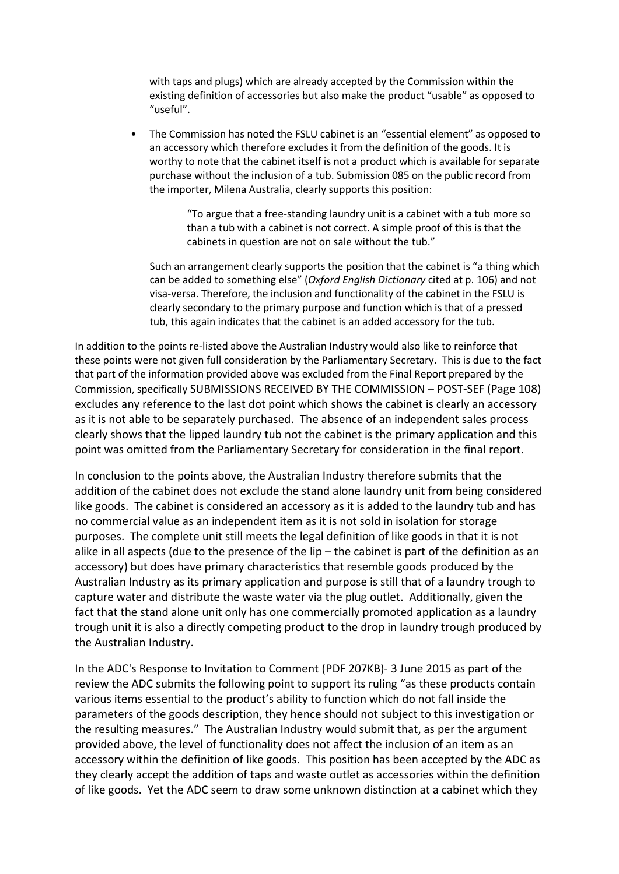with taps and plugs) which are already accepted by the Commission within the existing definition of accessories but also make the product "usable" as opposed to "useful".

• The Commission has noted the FSLU cabinet is an "essential element" as opposed to an accessory which therefore excludes it from the definition of the goods. It is worthy to note that the cabinet itself is not a product which is available for separate purchase without the inclusion of a tub. Submission 085 on the public record from the importer, Milena Australia, clearly supports this position:

> "To argue that a free-standing laundry unit is a cabinet with a tub more so than a tub with a cabinet is not correct. A simple proof of this is that the cabinets in question are not on sale without the tub."

Such an arrangement clearly supports the position that the cabinet is "a thing which can be added to something else" (*Oxford English Dictionary* cited at p. 106) and not visa-versa. Therefore, the inclusion and functionality of the cabinet in the FSLU is clearly secondary to the primary purpose and function which is that of a pressed tub, this again indicates that the cabinet is an added accessory for the tub.

In addition to the points re-listed above the Australian Industry would also like to reinforce that these points were not given full consideration by the Parliamentary Secretary. This is due to the fact that part of the information provided above was excluded from the Final Report prepared by the Commission, specifically SUBMISSIONS RECEIVED BY THE COMMISSION – POST-SEF (Page 108) excludes any reference to the last dot point which shows the cabinet is clearly an accessory as it is not able to be separately purchased. The absence of an independent sales process clearly shows that the lipped laundry tub not the cabinet is the primary application and this point was omitted from the Parliamentary Secretary for consideration in the final report.

In conclusion to the points above, the Australian Industry therefore submits that the addition of the cabinet does not exclude the stand alone laundry unit from being considered like goods. The cabinet is considered an accessory as it is added to the laundry tub and has no commercial value as an independent item as it is not sold in isolation for storage purposes. The complete unit still meets the legal definition of like goods in that it is not alike in all aspects (due to the presence of the lip – the cabinet is part of the definition as an accessory) but does have primary characteristics that resemble goods produced by the Australian Industry as its primary application and purpose is still that of a laundry trough to capture water and distribute the waste water via the plug outlet. Additionally, given the fact that the stand alone unit only has one commercially promoted application as a laundry trough unit it is also a directly competing product to the drop in laundry trough produced by the Australian Industry.

In the [ADC's Response to Invitation to Comment \(PDF 207KB\)-](http://adreviewpanel.gov.au/CurrentReviews/Documents/ADC%20Comments%20-%20030615.pdf) 3 June 2015 as part of the review the ADC submits the following point to support its ruling "as these products contain various items essential to the product's ability to function which do not fall inside the parameters of the goods description, they hence should not subject to this investigation or the resulting measures." The Australian Industry would submit that, as per the argument provided above, the level of functionality does not affect the inclusion of an item as an accessory within the definition of like goods. This position has been accepted by the ADC as they clearly accept the addition of taps and waste outlet as accessories within the definition of like goods. Yet the ADC seem to draw some unknown distinction at a cabinet which they